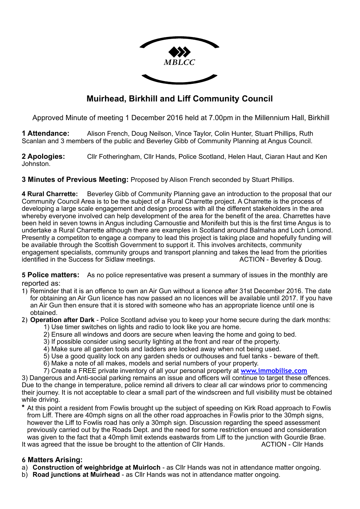

# **Muirhead, Birkhill and Liff Community Council**

Approved Minute of meeting 1 December 2016 held at 7.00pm in the Millennium Hall, Birkhill

**1 Attendance:** Alison French, Doug Neilson, Vince Taylor, Colin Hunter, Stuart Phillips, Ruth Scanlan and 3 members of the public and Beverley Gibb of Community Planning at Angus Council.

**2 Apologies:** Cllr Fotheringham, Cllr Hands, Police Scotland, Helen Haut, Ciaran Haut and Ken Johnston.

## **3 Minutes of Previous Meeting:** Proposed by Alison French seconded by Stuart Phillips.

**4 Rural Charrette:** Beverley Gibb of Community Planning gave an introduction to the proposal that our Community Council Area is to be the subject of a Rural Charrette project. A Charrette is the process of developing a large scale engagement and design process with all the different stakeholders in the area whereby everyone involved can help development of the area for the benefit of the area. Charrettes have been held in seven towns in Angus including Carnoustie and Monifeith but this is the first time Angus is to undertake a Rural Charrette although there are examples in Scotland around Balmaha and Loch Lomond. Presently a competiton to engage a company to lead this project is taking place and hopefully funding will be available through the Scottish Government to support it. This involves architects, community engagement specialists, community groups and transport planning and takes the lead from the priorities identified in the Success for Sidlaw meetings. The Mathematic Mathematic ACTION - Beverley & Doug.

**5 Police matters:** As no police representative was present a summary of issues in the monthly are reported as:

1) Reminder that it is an offence to own an Air Gun without a licence after 31st December 2016. The date for obtaining an Air Gun licence has now passed an no licences will be available until 2017. If you have an Air Gun then ensure that it is stored with someone who has an appropriate licence until one is obtained.

# 2) **Operation after Dark** - Police Scotland advise you to keep your home secure during the dark months:

- 1) Use timer switches on lights and radio to look like you are home.
- 2) Ensure all windows and doors are secure when leaving the home and going to bed.
- 3) If possible consider using security lighting at the front and rear of the property.
- 4) Make sure all garden tools and ladders are locked away when not being used.
- 5) Use a good quality lock on any garden sheds or outhouses and fuel tanks beware of theft.
- 6) Make a note of all makes, models and serial numbers of your property.
- 7) Create a FREE private inventory of all your personal property at **[www.immobilise.com](http://www.immobilise.com)**

3) Dangerous and Anti-social parking remains an issue and officers will continue to target these offences. Due to the change in temperature, police remind all drivers to clear all car windows prior to commencing their journey. It is not acceptable to clear a small part of the windscreen and full visibility must be obtained while driving.

**\*** At this point a resident from Fowlis brought up the subject of speeding on Kirk Road approach to Fowlis from Liff. There are 40mph signs on all the other road approaches in Fowlis prior to the 30mph signs, however the Liff to Fowlis road has only a 30mph sign. Discussion regarding the speed assessment previously carried out by the Roads Dept. and the need for some restriction ensued and consideration was given to the fact that a 40mph limit extends eastwards from Liff to the junction with Gourdie Brae. It was agreed that the issue be brought to the attention of Cllr Hands. ACTION - Cllr Hands

# **6 Matters Arising:**

- a) **Construction of weighbridge at Muirloch** as Cllr Hands was not in attendance matter ongoing.
- b) **Road junctions at Muirhead** as Cllr Hands was not in attendance matter ongoing.